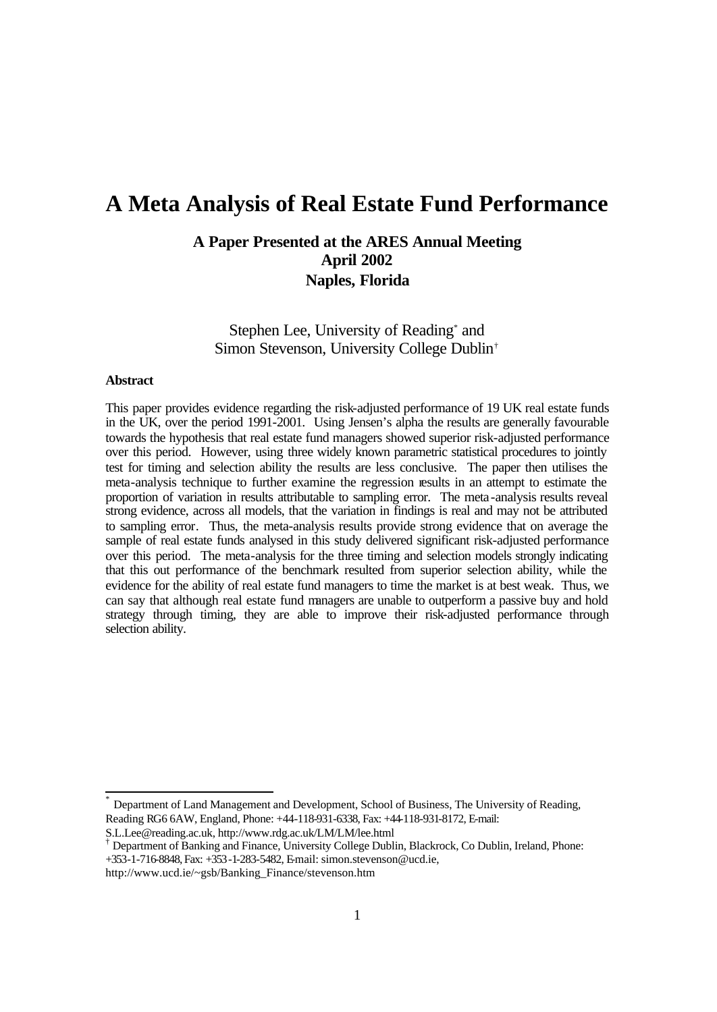# **A Meta Analysis of Real Estate Fund Performance**

# **A Paper Presented at the ARES Annual Meeting April 2002 Naples, Florida**

Stephen Lee, University of Reading<sup>\*</sup> and Simon Stevenson, University College Dublin†

### **Abstract**

 $\frac{1}{2}$ 

This paper provides evidence regarding the risk-adjusted performance of 19 UK real estate funds in the UK, over the period 1991-2001. Using Jensen's alpha the results are generally favourable towards the hypothesis that real estate fund managers showed superior risk-adjusted performance over this period. However, using three widely known parametric statistical procedures to jointly test for timing and selection ability the results are less conclusive. The paper then utilises the meta-analysis technique to further examine the regression results in an attempt to estimate the proportion of variation in results attributable to sampling error. The meta-analysis results reveal strong evidence, across all models, that the variation in findings is real and may not be attributed to sampling error. Thus, the meta-analysis results provide strong evidence that on average the sample of real estate funds analysed in this study delivered significant risk-adjusted performance over this period. The meta-analysis for the three timing and selection models strongly indicating that this out performance of the benchmark resulted from superior selection ability, while the evidence for the ability of real estate fund managers to time the market is at best weak. Thus, we can say that although real estate fund managers are unable to outperform a passive buy and hold strategy through timing, they are able to improve their risk-adjusted performance through selection ability.

Department of Land Management and Development, School of Business, The University of Reading, Reading RG6 6AW, England, Phone: +44-118-931-6338, Fax: +44-118-931-8172, E-mail:

S.L.Lee@reading.ac.uk, http://www.rdg.ac.uk/LM/LM/lee.html

<sup>†</sup> Department of Banking and Finance, University College Dublin, Blackrock, Co Dublin, Ireland, Phone: +353-1-716-8848, Fax: +353-1-283-5482, Email: simon.stevenson@ucd.ie,

http://www.ucd.ie/~gsb/Banking\_Finance/stevenson.htm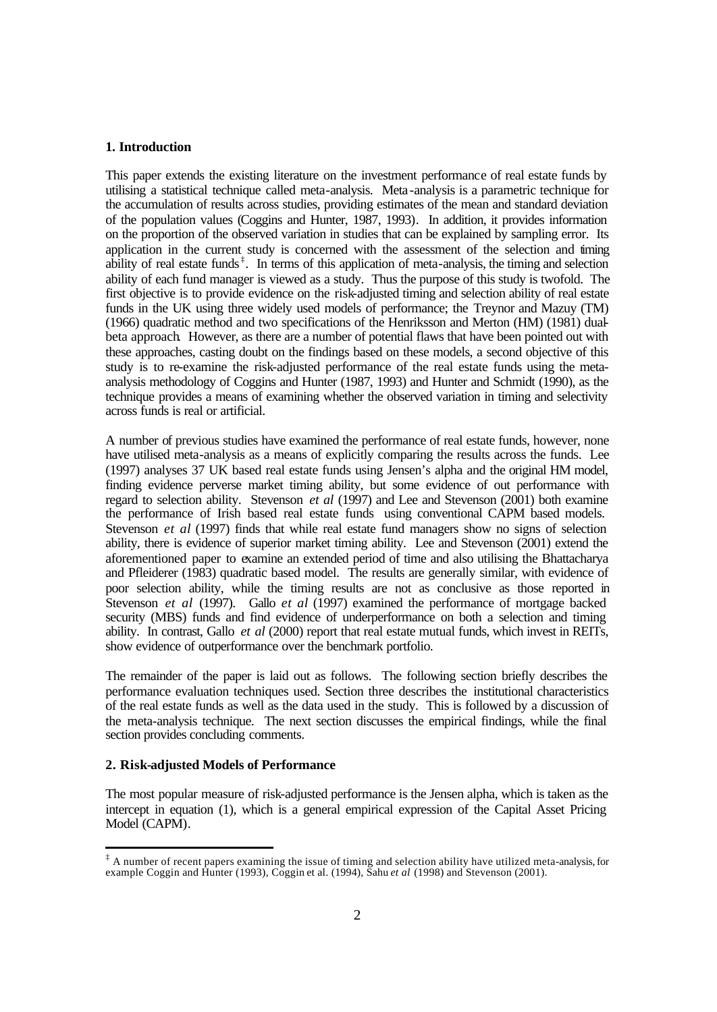# **1. Introduction**

This paper extends the existing literature on the investment performance of real estate funds by utilising a statistical technique called meta-analysis. Meta-analysis is a parametric technique for the accumulation of results across studies, providing estimates of the mean and standard deviation of the population values (Coggins and Hunter, 1987, 1993). In addition, it provides information on the proportion of the observed variation in studies that can be explained by sampling error. Its application in the current study is concerned with the assessment of the selection and timing ability of real estate funds<sup>‡</sup>. In terms of this application of meta-analysis, the timing and selection ability of each fund manager is viewed as a study. Thus the purpose of this study is twofold. The first objective is to provide evidence on the risk-adjusted timing and selection ability of real estate funds in the UK using three widely used models of performance; the Treynor and Mazuy (TM) (1966) quadratic method and two specifications of the Henriksson and Merton (HM) (1981) dualbeta approach. However, as there are a number of potential flaws that have been pointed out with these approaches, casting doubt on the findings based on these models, a second objective of this study is to re-examine the risk-adjusted performance of the real estate funds using the metaanalysis methodology of Coggins and Hunter (1987, 1993) and Hunter and Schmidt (1990), as the technique provides a means of examining whether the observed variation in timing and selectivity across funds is real or artificial.

A number of previous studies have examined the performance of real estate funds, however, none have utilised meta-analysis as a means of explicitly comparing the results across the funds. Lee (1997) analyses 37 UK based real estate funds using Jensen's alpha and the original HM model, finding evidence perverse market timing ability, but some evidence of out performance with regard to selection ability. Stevenson *et al* (1997) and Lee and Stevenson (2001) both examine the performance of Irish based real estate funds using conventional CAPM based models. Stevenson *et al* (1997) finds that while real estate fund managers show no signs of selection ability, there is evidence of superior market timing ability. Lee and Stevenson (2001) extend the aforementioned paper to examine an extended period of time and also utilising the Bhattacharya and Pfleiderer (1983) quadratic based model. The results are generally similar, with evidence of poor selection ability, while the timing results are not as conclusive as those reported in Stevenson *et al* (1997). Gallo *et al* (1997) examined the performance of mortgage backed security (MBS) funds and find evidence of underperformance on both a selection and timing ability. In contrast, Gallo *et al* (2000) report that real estate mutual funds, which invest in REITs, show evidence of outperformance over the benchmark portfolio.

The remainder of the paper is laid out as follows. The following section briefly describes the performance evaluation techniques used. Section three describes the institutional characteristics of the real estate funds as well as the data used in the study. This is followed by a discussion of the meta-analysis technique. The next section discusses the empirical findings, while the final section provides concluding comments.

#### **2. Risk-adjusted Models of Performance**

j

The most popular measure of risk-adjusted performance is the Jensen alpha, which is taken as the intercept in equation (1), which is a general empirical expression of the Capital Asset Pricing Model (CAPM).

<sup>‡</sup> A number of recent papers examining the issue of timing and selection ability have utilized meta-analysis, for example Coggin and Hunter (1993), Coggin et al. (1994), Sahu *et al* (1998) and Stevenson (2001).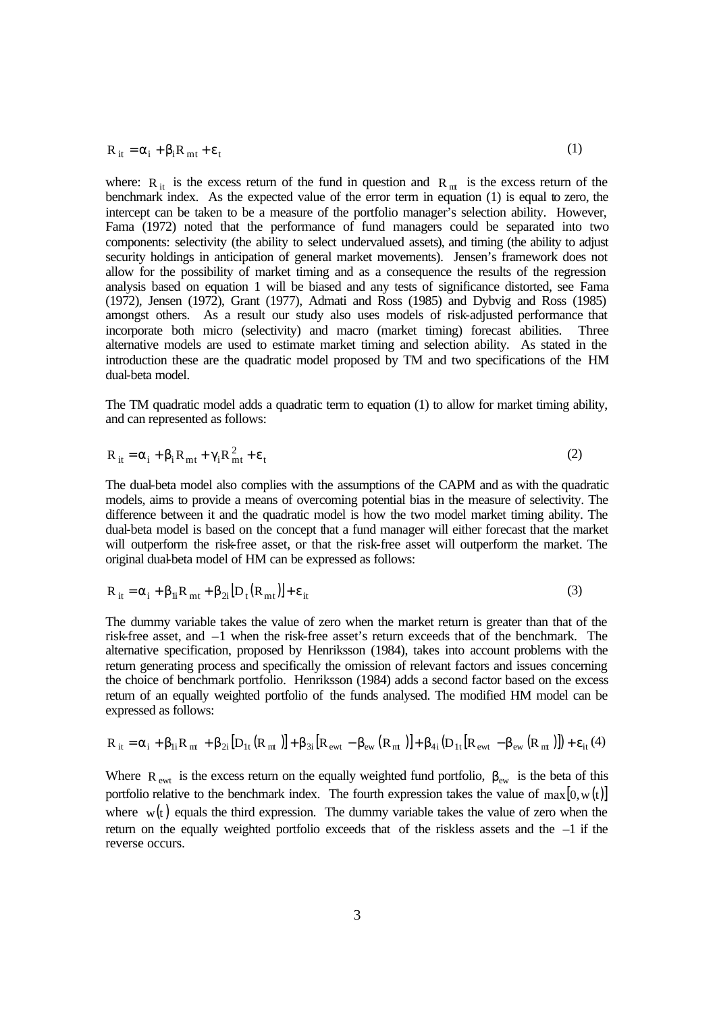$$
R_{it} = \alpha_i + \beta_i R_{mt} + \varepsilon_t
$$
 (1)

where:  $R_{it}$  is the excess return of the fund in question and  $R_{nt}$  is the excess return of the benchmark index. As the expected value of the error term in equation (1) is equal to zero, the intercept can be taken to be a measure of the portfolio manager's selection ability. However, Fama (1972) noted that the performance of fund managers could be separated into two components: selectivity (the ability to select undervalued assets), and timing (the ability to adjust security holdings in anticipation of general market movements). Jensen's framework does not allow for the possibility of market timing and as a consequence the results of the regression analysis based on equation 1 will be biased and any tests of significance distorted, see Fama (1972), Jensen (1972), Grant (1977), Admati and Ross (1985) and Dybvig and Ross (1985) amongst others. As a result our study also uses models of risk-adjusted performance that incorporate both micro (selectivity) and macro (market timing) forecast abilities. Three alternative models are used to estimate market timing and selection ability. As stated in the introduction these are the quadratic model proposed by TM and two specifications of the HM dual-beta model.

The TM quadratic model adds a quadratic term to equation (1) to allow for market timing ability, and can represented as follows:

$$
R_{it} = \alpha_i + \beta_i R_{mt} + \gamma_i R_{mt}^2 + \epsilon_t
$$
 (2)

The dual-beta model also complies with the assumptions of the CAPM and as with the quadratic models, aims to provide a means of overcoming potential bias in the measure of selectivity. The difference between it and the quadratic model is how the two model market timing ability. The dual-beta model is based on the concept that a fund manager will either forecast that the market will outperform the risk-free asset, or that the risk-free asset will outperform the market. The original dual-beta model of HM can be expressed as follows:

$$
R_{it} = \alpha_i + \beta_{li} R_{mt} + \beta_{2i} [D_t (R_{mt})] + \varepsilon_{it}
$$
\n(3)

The dummy variable takes the value of zero when the market return is greater than that of the risk-free asset, and –1 when the risk-free asset's return exceeds that of the benchmark. The alternative specification, proposed by Henriksson (1984), takes into account problems with the return generating process and specifically the omission of relevant factors and issues concerning the choice of benchmark portfolio. Henriksson (1984) adds a second factor based on the excess return of an equally weighted portfolio of the funds analysed. The modified HM model can be expressed as follows:

$$
R_{it} = \alpha_i + \beta_{1i}R_{nt} + \beta_{2i}[D_{1t}(R_{nt})] + \beta_{3i}[R_{ewt} - \beta_{ew}(R_{nt})] + \beta_{4i}(D_{1t}[R_{ewt} - \beta_{ew}(R_{nt})]) + \epsilon_{it}(4)
$$

Where  $R_{ewt}$  is the excess return on the equally weighted fund portfolio,  $\beta_{ew}$  is the beta of this portfolio relative to the benchmark index. The fourth expression takes the value of  $max[0, w(t)]$ where  $w(t)$  equals the third expression. The dummy variable takes the value of zero when the return on the equally weighted portfolio exceeds that of the riskless assets and the –1 if the reverse occurs.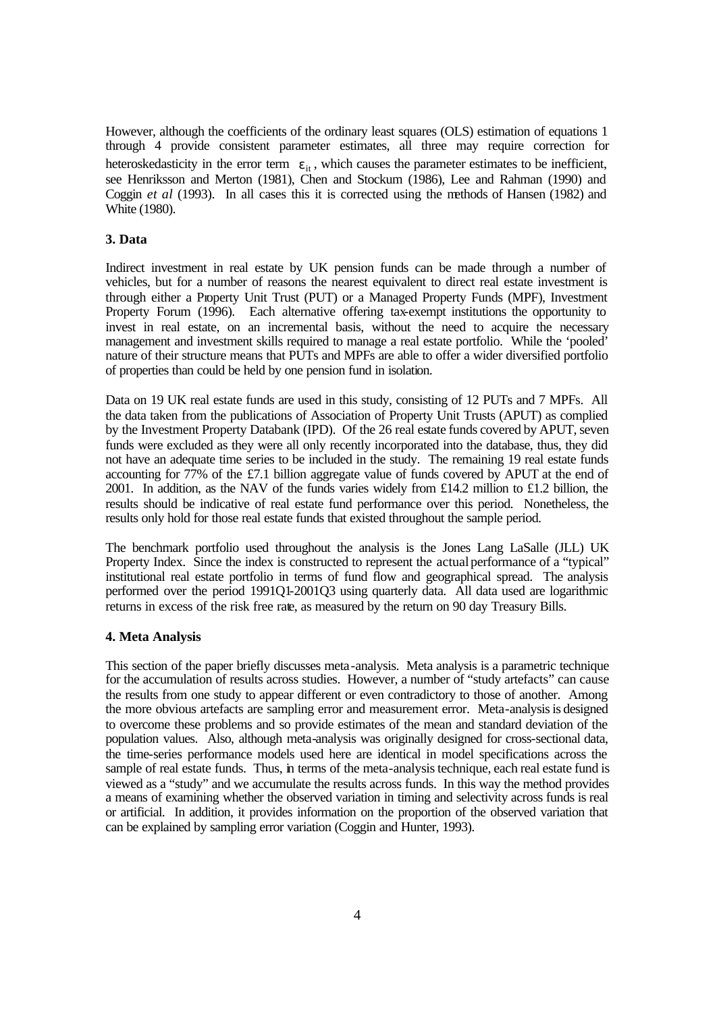However, although the coefficients of the ordinary least squares (OLS) estimation of equations 1 through 4 provide consistent parameter estimates, all three may require correction for heteroskedasticity in the error term  $\varepsilon_{it}$ , which causes the parameter estimates to be inefficient, see Henriksson and Merton (1981), Chen and Stockum (1986), Lee and Rahman (1990) and Coggin *et al* (1993). In all cases this it is corrected using the methods of Hansen (1982) and White (1980).

# **3. Data**

Indirect investment in real estate by UK pension funds can be made through a number of vehicles, but for a number of reasons the nearest equivalent to direct real estate investment is through either a Property Unit Trust (PUT) or a Managed Property Funds (MPF), Investment Property Forum (1996). Each alternative offering tax-exempt institutions the opportunity to invest in real estate, on an incremental basis, without the need to acquire the necessary management and investment skills required to manage a real estate portfolio. While the 'pooled' nature of their structure means that PUTs and MPFs are able to offer a wider diversified portfolio of properties than could be held by one pension fund in isolation.

Data on 19 UK real estate funds are used in this study, consisting of 12 PUTs and 7 MPFs. All the data taken from the publications of Association of Property Unit Trusts (APUT) as complied by the Investment Property Databank (IPD). Of the 26 real estate funds covered by APUT, seven funds were excluded as they were all only recently incorporated into the database, thus, they did not have an adequate time series to be included in the study. The remaining 19 real estate funds accounting for 77% of the £7.1 billion aggregate value of funds covered by APUT at the end of 2001. In addition, as the NAV of the funds varies widely from £14.2 million to £1.2 billion, the results should be indicative of real estate fund performance over this period. Nonetheless, the results only hold for those real estate funds that existed throughout the sample period.

The benchmark portfolio used throughout the analysis is the Jones Lang LaSalle (JLL) UK Property Index. Since the index is constructed to represent the actual performance of a "typical" institutional real estate portfolio in terms of fund flow and geographical spread. The analysis performed over the period 1991Q1-2001Q3 using quarterly data. All data used are logarithmic returns in excess of the risk free rate, as measured by the return on 90 day Treasury Bills.

#### **4. Meta Analysis**

This section of the paper briefly discusses meta-analysis. Meta analysis is a parametric technique for the accumulation of results across studies. However, a number of "study artefacts" can cause the results from one study to appear different or even contradictory to those of another. Among the more obvious artefacts are sampling error and measurement error. Meta-analysis is designed to overcome these problems and so provide estimates of the mean and standard deviation of the population values. Also, although meta-analysis was originally designed for cross-sectional data, the time-series performance models used here are identical in model specifications across the sample of real estate funds. Thus, in terms of the meta-analysis technique, each real estate fund is viewed as a "study" and we accumulate the results across funds. In this way the method provides a means of examining whether the observed variation in timing and selectivity across funds is real or artificial. In addition, it provides information on the proportion of the observed variation that can be explained by sampling error variation (Coggin and Hunter, 1993).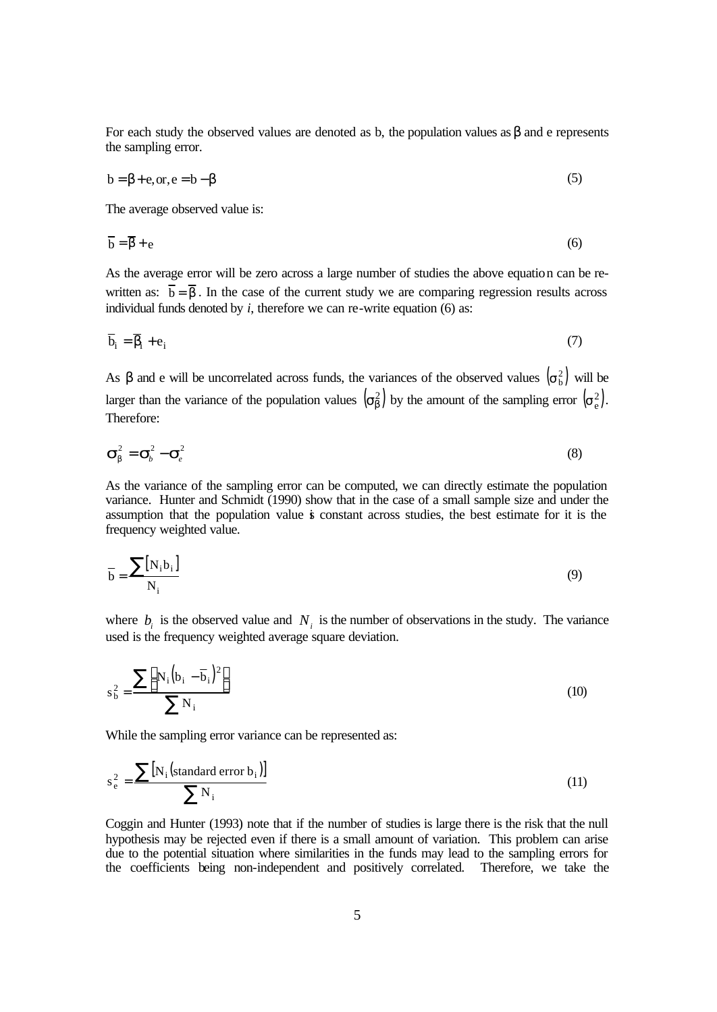For each study the observed values are denoted as b, the population values as  $\beta$  and e represents the sampling error.

$$
b = \beta + e, or, e = b - \beta \tag{5}
$$

The average observed value is:

$$
\overline{\mathbf{b}} = \overline{\mathbf{\beta}} + \mathbf{e} \tag{6}
$$

As the average error will be zero across a large number of studies the above equation can be rewritten as:  $\overline{b} = \overline{b}$ . In the case of the current study we are comparing regression results across individual funds denoted by  $i$ , therefore we can re-write equation  $(6)$  as:

$$
\overline{b}_i = \overline{\beta}_i + e_i \tag{7}
$$

As  $\beta$  and e will be uncorrelated across funds, the variances of the observed values  $(\sigma_b^2)$  will be larger than the variance of the population values  $(\sigma_{\beta}^2)$  by the amount of the sampling error  $(\sigma_{\rm e}^2)$ . Therefore:

$$
\boldsymbol{S}_{b}^{2} = \boldsymbol{S}_{b}^{2} - \boldsymbol{S}_{e}^{2}
$$
 (8)

As the variance of the sampling error can be computed, we can directly estimate the population variance. Hunter and Schmidt (1990) show that in the case of a small sample size and under the assumption that the population value is constant across studies, the best estimate for it is the frequency weighted value.

$$
\overline{\mathbf{b}} = \frac{\sum [\mathbf{N}_i \mathbf{b}_i]}{\mathbf{N}_i} \tag{9}
$$

where  $b_i$  is the observed value and  $N_i$  is the number of observations in the study. The variance used is the frequency weighted average square deviation.

$$
s_b^2 = \frac{\sum [N_i (b_i - \overline{b}_i)^2]}{\sum N_i}
$$
 (10)

While the sampling error variance can be represented as:

$$
s_e^2 = \frac{\sum [N_i \text{(standard error b_i)}]}{\sum N_i} \tag{11}
$$

Coggin and Hunter (1993) note that if the number of studies is large there is the risk that the null hypothesis may be rejected even if there is a small amount of variation. This problem can arise due to the potential situation where similarities in the funds may lead to the sampling errors for the coefficients being non-independent and positively correlated. Therefore, we take the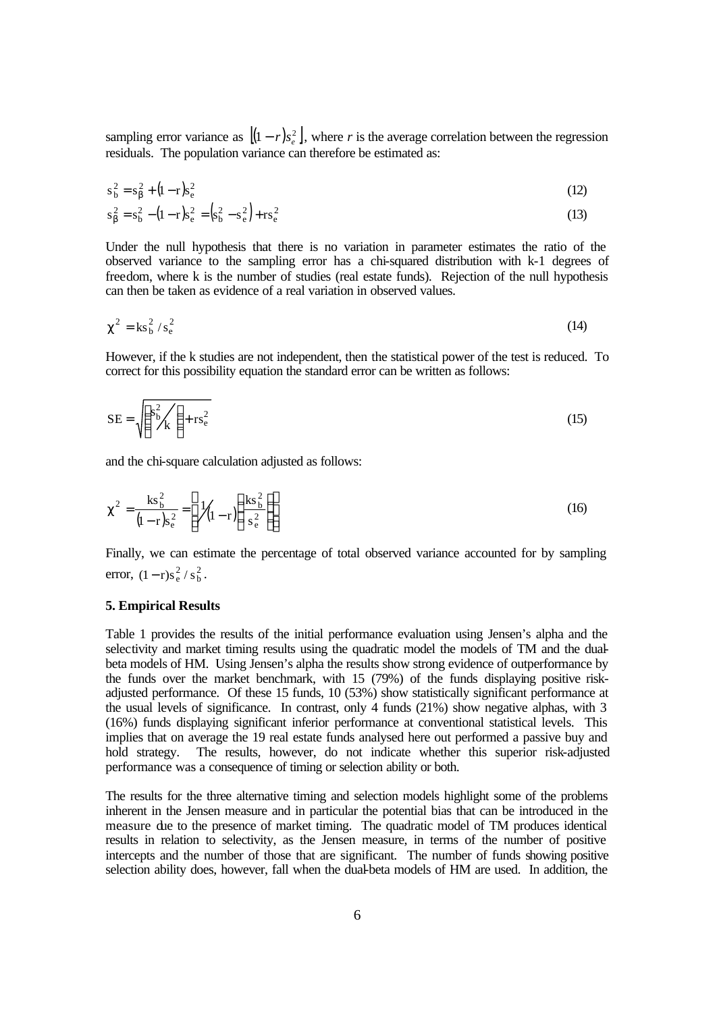sampling error variance as  $[(1 - r)s_e^2]$ , where *r* is the average correlation between the regression residuals. The population variance can therefore be estimated as:

$$
s_b^2 = s_b^2 + (1 - r)s_e^2
$$
 (12)

$$
s_{\beta}^{2} = s_{b}^{2} - (1 - r)s_{e}^{2} = (s_{b}^{2} - s_{e}^{2}) + rs_{e}^{2}
$$
\n(13)

Under the null hypothesis that there is no variation in parameter estimates the ratio of the observed variance to the sampling error has a chi-squared distribution with k-1 degrees of freedom, where k is the number of studies (real estate funds). Rejection of the null hypothesis can then be taken as evidence of a real variation in observed values.

$$
\chi^2 = \mathrm{ks}_b^2 / s_e^2 \tag{14}
$$

However, if the k studies are not independent, then the statistical power of the test is reduced. To correct for this possibility equation the standard error can be written as follows:

$$
SE = \sqrt{\left(\frac{s_b^2}{k}\right) + rs_e^2}
$$
 (15)

and the chi-square calculation adjusted as follows:

$$
\chi^2 = \frac{\text{ks}_b^2}{(1 - r)s_e^2} = \left[ \frac{1}{(1 - r)} \left( \frac{\text{ks}_b^2}{s_e^2} \right) \right]
$$
(16)

Finally, we can estimate the percentage of total observed variance accounted for by sampling error,  $(1 - r)s_e^2 / s_b^2$ .

#### **5. Empirical Results**

Table 1 provides the results of the initial performance evaluation using Jensen's alpha and the selectivity and market timing results using the quadratic model the models of TM and the dualbeta models of HM. Using Jensen's alpha the results show strong evidence of outperformance by the funds over the market benchmark, with 15 (79%) of the funds displaying positive riskadjusted performance. Of these 15 funds, 10 (53%) show statistically significant performance at the usual levels of significance. In contrast, only 4 funds (21%) show negative alphas, with 3 (16%) funds displaying significant inferior performance at conventional statistical levels. This implies that on average the 19 real estate funds analysed here out performed a passive buy and hold strategy. The results, however, do not indicate whether this superior risk-adjusted performance was a consequence of timing or selection ability or both.

The results for the three alternative timing and selection models highlight some of the problems inherent in the Jensen measure and in particular the potential bias that can be introduced in the measure due to the presence of market timing. The quadratic model of TM produces identical results in relation to selectivity, as the Jensen measure, in terms of the number of positive intercepts and the number of those that are significant. The number of funds showing positive selection ability does, however, fall when the dual-beta models of HM are used. In addition, the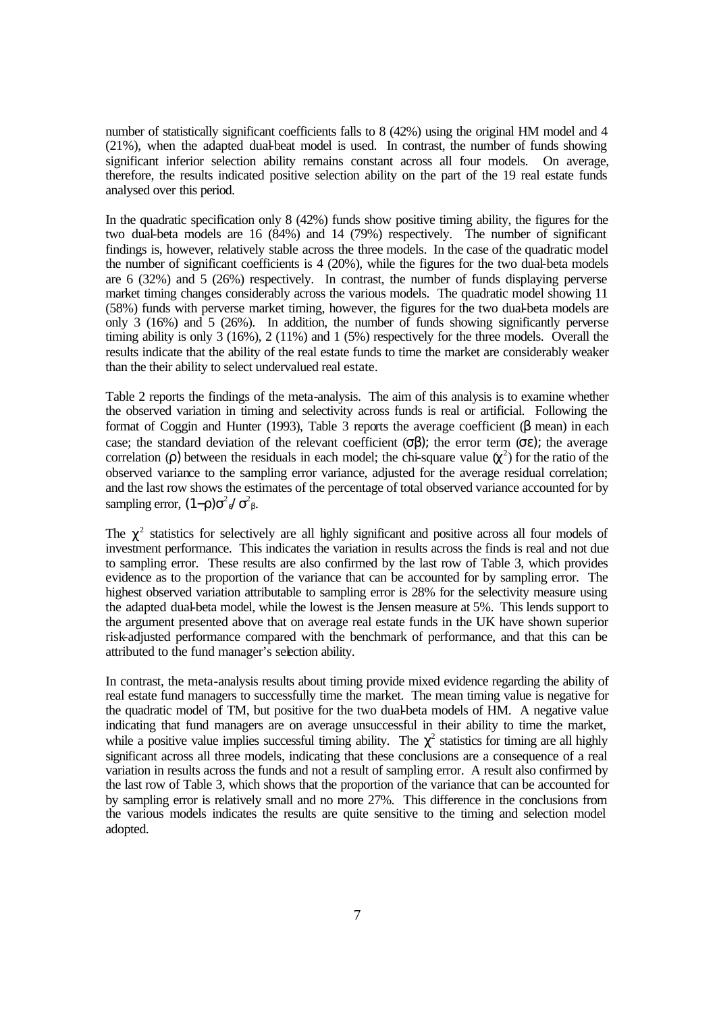number of statistically significant coefficients falls to 8 (42%) using the original HM model and 4 (21%), when the adapted dual-beat model is used. In contrast, the number of funds showing significant inferior selection ability remains constant across all four models. On average, therefore, the results indicated positive selection ability on the part of the 19 real estate funds analysed over this period.

In the quadratic specification only 8 (42%) funds show positive timing ability, the figures for the two dual-beta models are 16 (84%) and 14 (79%) respectively. The number of significant findings is, however, relatively stable across the three models. In the case of the quadratic model the number of significant coefficients is 4 (20%), while the figures for the two dual-beta models are 6 (32%) and 5 (26%) respectively. In contrast, the number of funds displaying perverse market timing changes considerably across the various models. The quadratic model showing 11 (58%) funds with perverse market timing, however, the figures for the two dual-beta models are only 3 (16%) and 5 (26%). In addition, the number of funds showing significantly perverse timing ability is only 3 (16%), 2 (11%) and 1 (5%) respectively for the three models. Overall the results indicate that the ability of the real estate funds to time the market are considerably weaker than the their ability to select undervalued real estate.

Table 2 reports the findings of the meta-analysis. The aim of this analysis is to examine whether the observed variation in timing and selectivity across funds is real or artificial. Following the format of Coggin and Hunter (1993), Table 3 reports the average coefficient (β mean) in each case; the standard deviation of the relevant coefficient  $(\sigma \beta)$ ; the error term  $(\sigma \epsilon)$ ; the average correlation ( $\rho$ ) between the residuals in each model; the chi-square value  $\chi^2$ ) for the ratio of the observed variance to the sampling error variance, adjusted for the average residual correlation; and the last row shows the estimates of the percentage of total observed variance accounted for by sampling error,  $(1-\rho)\sigma^2$ <sub>β</sub>'  $\sigma^2$ <sub>β</sub>.

The  $\chi^2$  statistics for selectively are all lighly significant and positive across all four models of investment performance. This indicates the variation in results across the finds is real and not due to sampling error. These results are also confirmed by the last row of Table 3, which provides evidence as to the proportion of the variance that can be accounted for by sampling error. The highest observed variation attributable to sampling error is 28% for the selectivity measure using the adapted dual-beta model, while the lowest is the Jensen measure at 5%. This lends support to the argument presented above that on average real estate funds in the UK have shown superior risk-adjusted performance compared with the benchmark of performance, and that this can be attributed to the fund manager's selection ability.

In contrast, the meta-analysis results about timing provide mixed evidence regarding the ability of real estate fund managers to successfully time the market. The mean timing value is negative for the quadratic model of TM, but positive for the two dual-beta models of HM. A negative value indicating that fund managers are on average unsuccessful in their ability to time the market, while a positive value implies successful timing ability. The  $\chi^2$  statistics for timing are all highly significant across all three models, indicating that these conclusions are a consequence of a real variation in results across the funds and not a result of sampling error. A result also confirmed by the last row of Table 3, which shows that the proportion of the variance that can be accounted for by sampling error is relatively small and no more 27%. This difference in the conclusions from the various models indicates the results are quite sensitive to the timing and selection model adopted.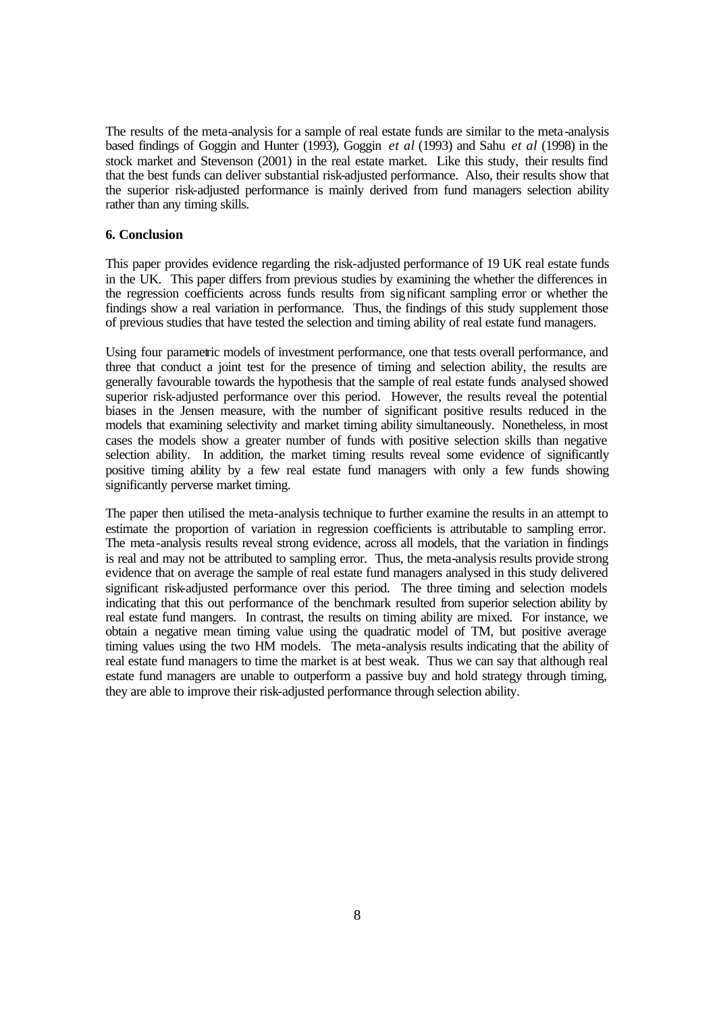The results of the meta-analysis for a sample of real estate funds are similar to the meta-analysis based findings of Goggin and Hunter (1993), Goggin *et al* (1993) and Sahu *et al* (1998) in the stock market and Stevenson (2001) in the real estate market. Like this study, their results find that the best funds can deliver substantial risk-adjusted performance. Also, their results show that the superior risk-adjusted performance is mainly derived from fund managers selection ability rather than any timing skills.

# **6. Conclusion**

This paper provides evidence regarding the risk-adjusted performance of 19 UK real estate funds in the UK. This paper differs from previous studies by examining the whether the differences in the regression coefficients across funds results from significant sampling error or whether the findings show a real variation in performance. Thus, the findings of this study supplement those of previous studies that have tested the selection and timing ability of real estate fund managers.

Using four parametric models of investment performance, one that tests overall performance, and three that conduct a joint test for the presence of timing and selection ability, the results are generally favourable towards the hypothesis that the sample of real estate funds analysed showed superior risk-adjusted performance over this period. However, the results reveal the potential biases in the Jensen measure, with the number of significant positive results reduced in the models that examining selectivity and market timing ability simultaneously. Nonetheless, in most cases the models show a greater number of funds with positive selection skills than negative selection ability. In addition, the market timing results reveal some evidence of significantly positive timing ability by a few real estate fund managers with only a few funds showing significantly perverse market timing.

The paper then utilised the meta-analysis technique to further examine the results in an attempt to estimate the proportion of variation in regression coefficients is attributable to sampling error. The meta-analysis results reveal strong evidence, across all models, that the variation in findings is real and may not be attributed to sampling error. Thus, the meta-analysis results provide strong evidence that on average the sample of real estate fund managers analysed in this study delivered significant risk-adjusted performance over this period. The three timing and selection models indicating that this out performance of the benchmark resulted from superior selection ability by real estate fund mangers. In contrast, the results on timing ability are mixed. For instance, we obtain a negative mean timing value using the quadratic model of TM, but positive average timing values using the two HM models. The meta-analysis results indicating that the ability of real estate fund managers to time the market is at best weak. Thus we can say that although real estate fund managers are unable to outperform a passive buy and hold strategy through timing, they are able to improve their risk-adjusted performance through selection ability.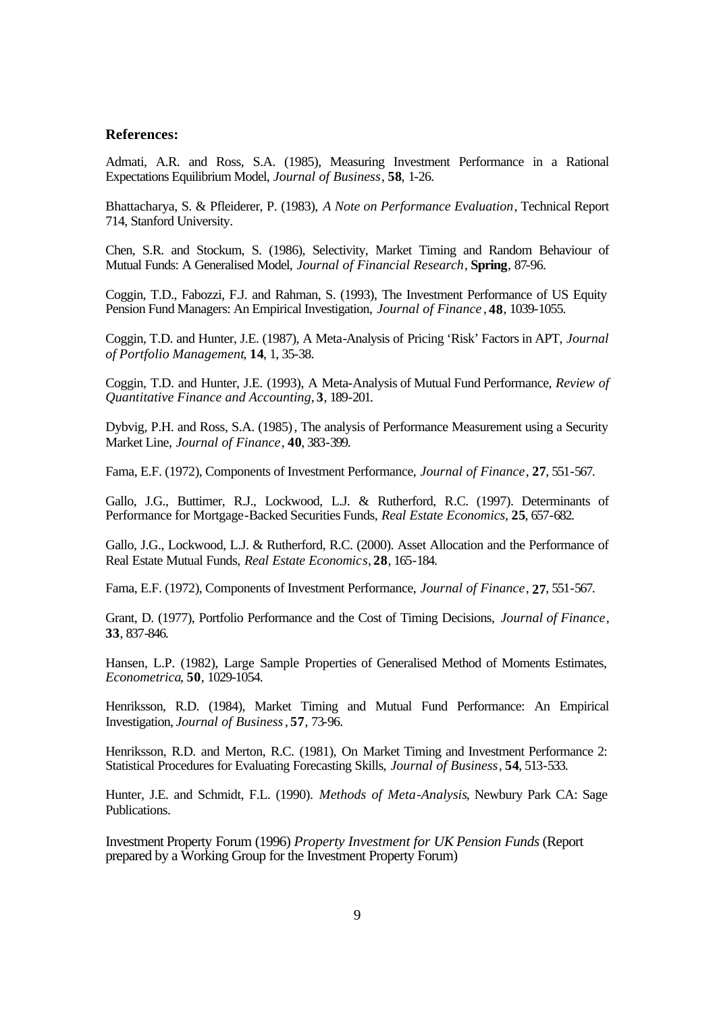#### **References:**

Admati, A.R. and Ross, S.A. (1985), Measuring Investment Performance in a Rational Expectations Equilibrium Model, *Journal of Business*, **58**, 1-26.

Bhattacharya, S. & Pfleiderer, P. (1983), *A Note on Performance Evaluation*, Technical Report 714, Stanford University.

Chen, S.R. and Stockum, S. (1986), Selectivity, Market Timing and Random Behaviour of Mutual Funds: A Generalised Model, *Journal of Financial Research*, **Spring**, 87-96.

Coggin, T.D., Fabozzi, F.J. and Rahman, S. (1993), The Investment Performance of US Equity Pension Fund Managers: An Empirical Investigation, *Journal of Finance* , **48**, 1039-1055.

Coggin, T.D. and Hunter, J.E. (1987), A Meta-Analysis of Pricing 'Risk' Factors in APT, *Journal of Portfolio Management*, **14**, 1, 35-38.

Coggin, T.D. and Hunter, J.E. (1993), A Meta-Analysis of Mutual Fund Performance, *Review of Quantitative Finance and Accounting*, **3**, 189-201.

Dybvig, P.H. and Ross, S.A. (1985), The analysis of Performance Measurement using a Security Market Line, *Journal of Finance*, **40**, 383-399.

Fama, E.F. (1972), Components of Investment Performance, *Journal of Finance*, **27**, 551-567.

Gallo, J.G., Buttimer, R.J., Lockwood, L.J. & Rutherford, R.C. (1997). Determinants of Performance for Mortgage-Backed Securities Funds, *Real Estate Economics*, **25**, 657-682.

Gallo, J.G., Lockwood, L.J. & Rutherford, R.C. (2000). Asset Allocation and the Performance of Real Estate Mutual Funds, *Real Estate Economics*, **28**, 165-184.

Fama, E.F. (1972), Components of Investment Performance, *Journal of Finance*, **27**, 551-567.

Grant, D. (1977), Portfolio Performance and the Cost of Timing Decisions, *Journal of Finance*, **33**, 837-846.

Hansen, L.P. (1982), Large Sample Properties of Generalised Method of Moments Estimates, *Econometrica*, **50**, 1029-1054.

Henriksson, R.D. (1984), Market Timing and Mutual Fund Performance: An Empirical Investigation, *Journal of Business*, **57**, 73-96.

Henriksson, R.D. and Merton, R.C. (1981), On Market Timing and Investment Performance 2: Statistical Procedures for Evaluating Forecasting Skills, *Journal of Business*, **54**, 513-533.

Hunter, J.E. and Schmidt, F.L. (1990). *Methods of Meta-Analysis*, Newbury Park CA: Sage Publications.

Investment Property Forum (1996) *Property Investment for UK Pension Funds* (Report prepared by a Working Group for the Investment Property Forum)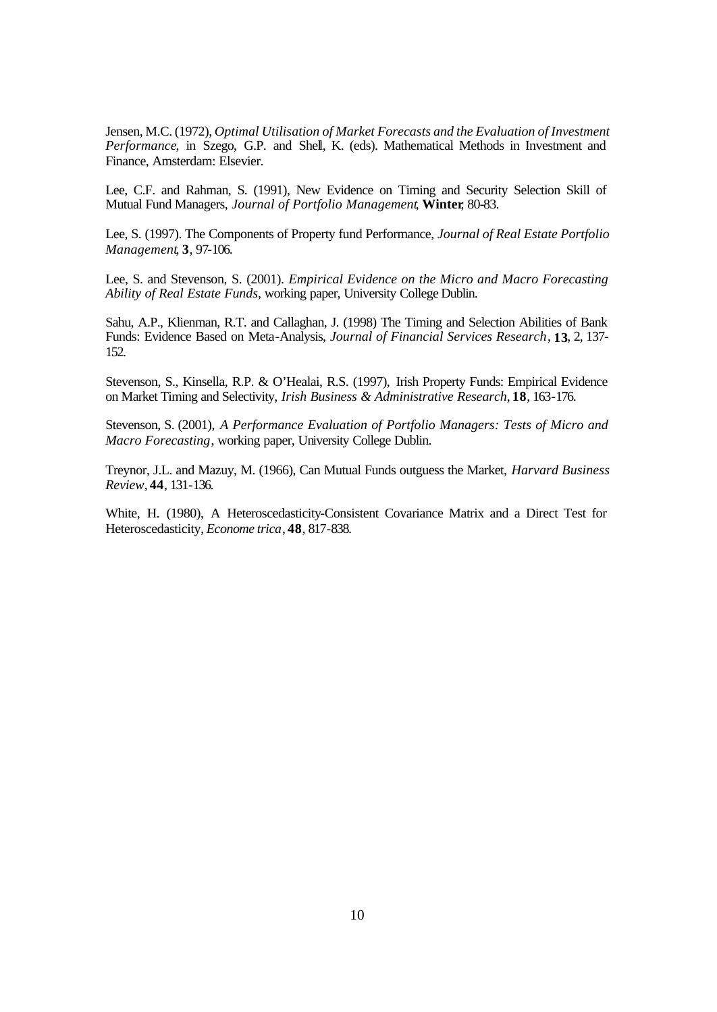Jensen, M.C. (1972), *Optimal Utilisation of Market Forecasts and the Evaluation of Investment Performance*, in Szego, G.P. and Shell, K. (eds). Mathematical Methods in Investment and Finance, Amsterdam: Elsevier.

Lee, C.F. and Rahman, S. (1991), New Evidence on Timing and Security Selection Skill of Mutual Fund Managers, *Journal of Portfolio Management*, **Winter**, 80-83.

Lee, S. (1997). The Components of Property fund Performance, *Journal of Real Estate Portfolio Management*, **3**, 97-106.

Lee, S. and Stevenson, S. (2001). *Empirical Evidence on the Micro and Macro Forecasting Ability of Real Estate Funds*, working paper, University College Dublin.

Sahu, A.P., Klienman, R.T. and Callaghan, J. (1998) The Timing and Selection Abilities of Bank Funds: Evidence Based on Meta-Analysis, *Journal of Financial Services Research*, **13**, 2, 137- 152.

Stevenson, S., Kinsella, R.P. & O'Healai, R.S. (1997), Irish Property Funds: Empirical Evidence on Market Timing and Selectivity, *Irish Business & Administrative Research*, **18**, 163-176.

Stevenson, S. (2001), *A Performance Evaluation of Portfolio Managers: Tests of Micro and Macro Forecasting*, working paper, University College Dublin.

Treynor, J.L. and Mazuy, M. (1966), Can Mutual Funds outguess the Market, *Harvard Business Review*, **44**, 131-136.

White, H. (1980), A Heteroscedasticity-Consistent Covariance Matrix and a Direct Test for Heteroscedasticity, *Econome trica*, **48**, 817-838.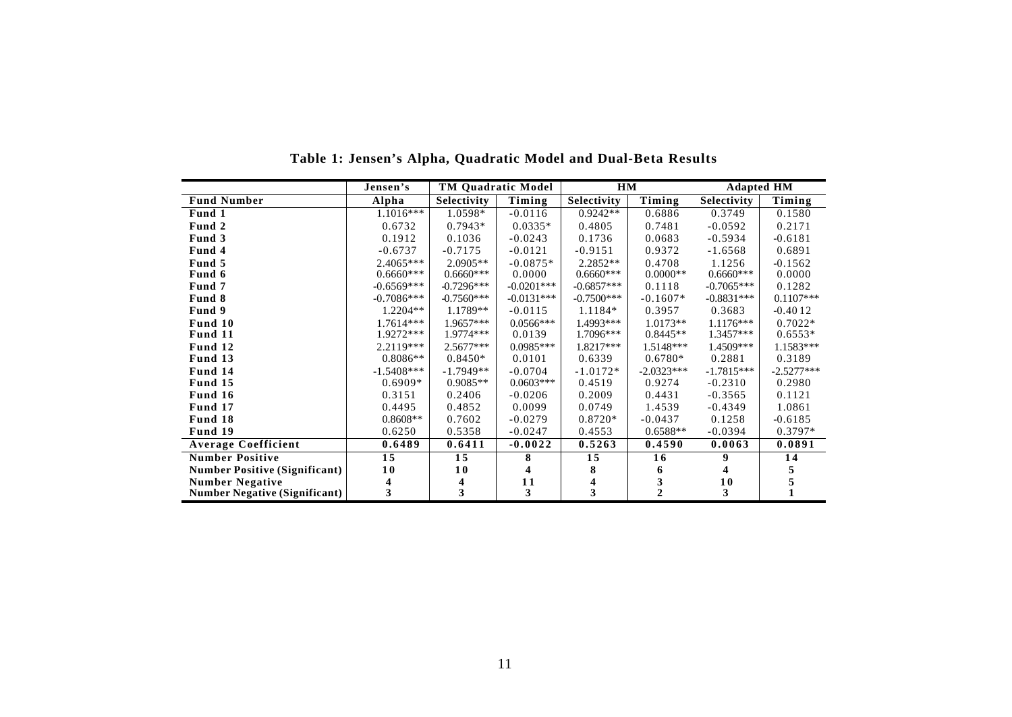|                                      | Jensen's     | <b>TM Quadratic Model</b> |              | HM           |                | <b>Adapted HM</b>  |              |
|--------------------------------------|--------------|---------------------------|--------------|--------------|----------------|--------------------|--------------|
| <b>Fund Number</b>                   | Alpha        | Selectivity               | Timing       | Selectivity  | Timing         | <b>Selectivity</b> | Timing       |
| Fund 1                               | $1.1016***$  | 1.0598*                   | $-0.0116$    | $0.9242**$   | 0.6886         | 0.3749             | 0.1580       |
| Fund 2                               | 0.6732       | $0.7943*$                 | $0.0335*$    | 0.4805       | 0.7481         | $-0.0592$          | 0.2171       |
| Fund 3                               | 0.1912       | 0.1036                    | $-0.0243$    | 0.1736       | 0.0683         | $-0.5934$          | $-0.6181$    |
| Fund 4                               | $-0.6737$    | $-0.7175$                 | $-0.0121$    | $-0.9151$    | 0.9372         | $-1.6568$          | 0.6891       |
| Fund 5                               | $2.4065***$  | $2.0905**$                | $-0.0875*$   | $2.2852**$   | 0.4708         | 1.1256             | $-0.1562$    |
| Fund 6                               | $0.6660***$  | $0.6660***$               | 0.0000       | $0.6660***$  | $0.0000**$     | $0.6660***$        | 0.0000       |
| Fund 7                               | $-0.6569***$ | $-0.7296***$              | $-0.0201***$ | $-0.6857***$ | 0.1118         | $-0.7065***$       | 0.1282       |
| Fund 8                               | $-0.7086***$ | $-0.7560***$              | $-0.0131***$ | $-0.7500***$ | $-0.1607*$     | $-0.8831***$       | $0.1107***$  |
| Fund 9                               | $1.2204**$   | 1.1789**                  | $-0.0115$    | 1.1184*      | 0.3957         | 0.3683             | $-0.4012$    |
| Fund 10                              | $1.7614***$  | 1.9657***                 | $0.0566***$  | 1.4993***    | $1.0173**$     | $1.1176***$        | $0.7022*$    |
| Fund 11                              | 1.9272***    | $1.9774***$               | 0.0139       | 1.7096***    | $0.8445**$     | 1.3457***          | $0.6553*$    |
| Fund 12                              | $2.2119***$  | $2.5677***$               | $0.0985***$  | 1.8217***    | 1.5148***      | 1.4509***          | 1.1583***    |
| Fund 13                              | $0.8086**$   | $0.8450*$                 | 0.0101       | 0.6339       | $0.6780*$      | 0.2881             | 0.3189       |
| Fund 14                              | $-1.5408***$ | $-1.7949**$               | $-0.0704$    | $-1.0172*$   | $-2.0323***$   | $-1.7815***$       | $-2.5277***$ |
| Fund 15                              | $0.6909*$    | $0.9085**$                | $0.0603***$  | 0.4519       | 0.9274         | $-0.2310$          | 0.2980       |
| Fund 16                              | 0.3151       | 0.2406                    | $-0.0206$    | 0.2009       | 0.4431         | $-0.3565$          | 0.1121       |
| Fund 17                              | 0.4495       | 0.4852                    | 0.0099       | 0.0749       | 1.4539         | $-0.4349$          | 1.0861       |
| Fund 18                              | $0.8608**$   | 0.7602                    | $-0.0279$    | $0.8720*$    | $-0.0437$      | 0.1258             | $-0.6185$    |
| Fund 19                              | 0.6250       | 0.5358                    | $-0.0247$    | 0.4553       | $0.6588**$     | $-0.0394$          | $0.3797*$    |
| <b>Average Coefficient</b>           | 0.6489       | 0.6411                    | $-0.0022$    | 0.5263       | 0.4590         | 0.0063             | 0.0891       |
| <b>Number Positive</b>               | 15           | 15                        | 8            | 15           | 16             | 9                  | 14           |
| <b>Number Positive (Significant)</b> | 10           | 10                        | 4            | 8            | 6              | 4                  |              |
| <b>Number Negative</b>               | 4            | 4                         | 11           | 4            | 3              | 10                 |              |
| <b>Number Negative (Significant)</b> | 3            | 3                         | 3            | 3            | $\overline{2}$ | 3                  |              |

**Table 1: Jensen's Alpha, Quadratic Model and Dual-Beta Results**